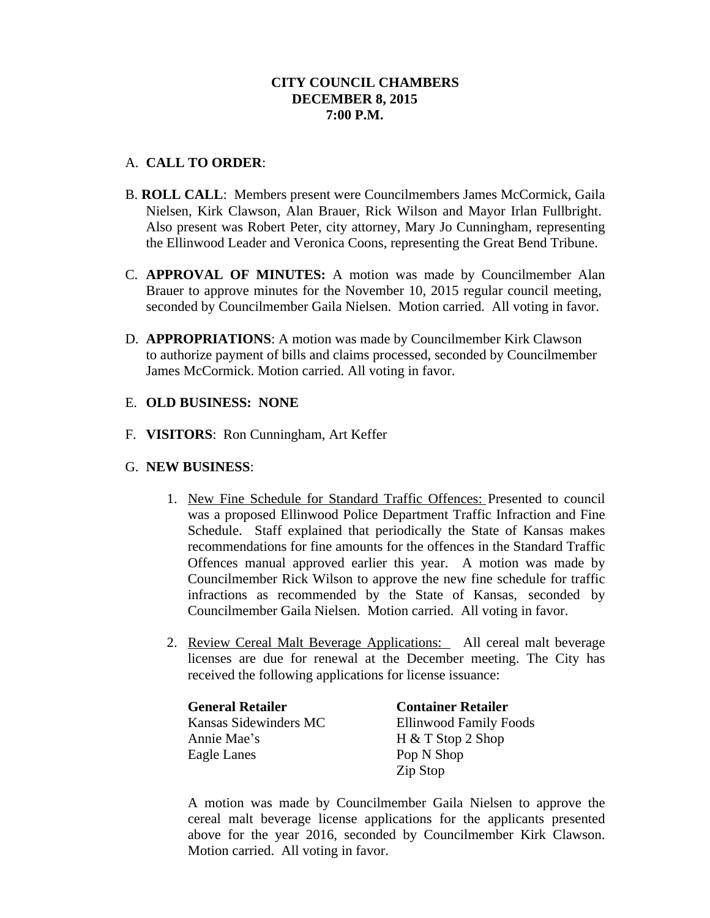## **CITY COUNCIL CHAMBERS DECEMBER 8, 2015 7:00 P.M.**

## A. **CALL TO ORDER**:

- B. **ROLL CALL**: Members present were Councilmembers James McCormick, Gaila Nielsen, Kirk Clawson, Alan Brauer, Rick Wilson and Mayor Irlan Fullbright. Also present was Robert Peter, city attorney, Mary Jo Cunningham, representing the Ellinwood Leader and Veronica Coons, representing the Great Bend Tribune.
- C. **APPROVAL OF MINUTES:** A motion was made by Councilmember Alan Brauer to approve minutes for the November 10, 2015 regular council meeting, seconded by Councilmember Gaila Nielsen. Motion carried. All voting in favor.
- D. **APPROPRIATIONS**: A motion was made by Councilmember Kirk Clawson to authorize payment of bills and claims processed, seconded by Councilmember James McCormick. Motion carried. All voting in favor.

## E. **OLD BUSINESS: NONE**

F. **VISITORS**: Ron Cunningham, Art Keffer

#### G. **NEW BUSINESS**:

- 1. New Fine Schedule for Standard Traffic Offences: Presented to council was a proposed Ellinwood Police Department Traffic Infraction and Fine Schedule. Staff explained that periodically the State of Kansas makes recommendations for fine amounts for the offences in the Standard Traffic Offences manual approved earlier this year. A motion was made by Councilmember Rick Wilson to approve the new fine schedule for traffic infractions as recommended by the State of Kansas, seconded by Councilmember Gaila Nielsen. Motion carried. All voting in favor.
- 2. Review Cereal Malt Beverage Applications: All cereal malt beverage licenses are due for renewal at the December meeting. The City has received the following applications for license issuance:

| <b>General Retailer</b> | <b>Container Retailer</b>     |
|-------------------------|-------------------------------|
| Kansas Sidewinders MC   | <b>Ellinwood Family Foods</b> |
| Annie Mae's             | $H & T$ Stop 2 Shop           |
| Eagle Lanes             | Pop N Shop                    |
|                         | Zip Stop                      |

A motion was made by Councilmember Gaila Nielsen to approve the cereal malt beverage license applications for the applicants presented above for the year 2016, seconded by Councilmember Kirk Clawson. Motion carried. All voting in favor.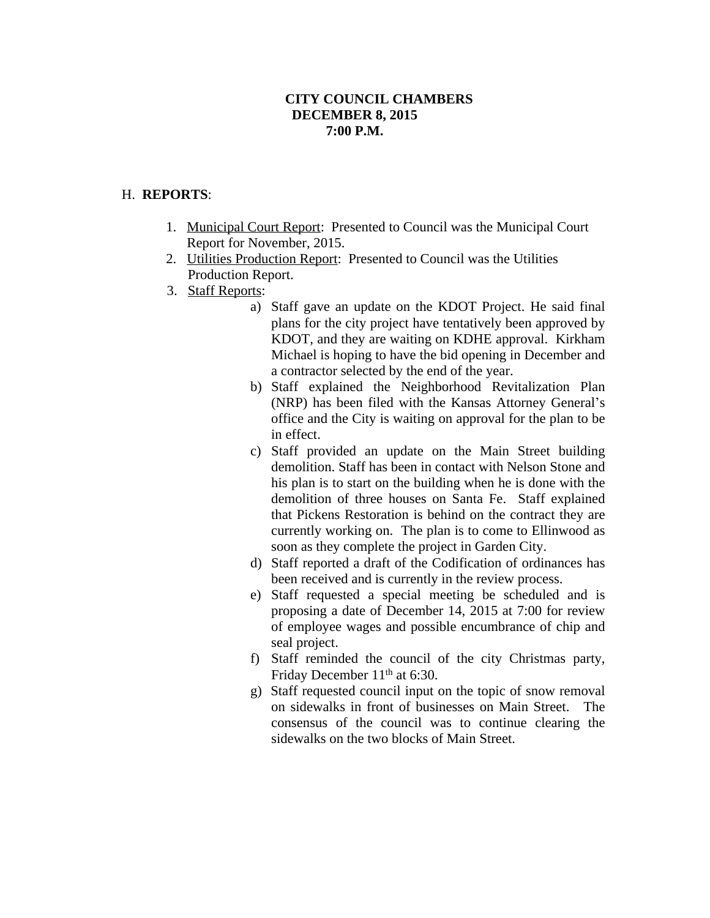# **CITY COUNCIL CHAMBERS DECEMBER 8, 2015 7:00 P.M.**

## H. **REPORTS**:

- 1. Municipal Court Report: Presented to Council was the Municipal Court Report for November, 2015.
- 2. Utilities Production Report: Presented to Council was the Utilities Production Report.
- 3. Staff Reports:
	- a) Staff gave an update on the KDOT Project. He said final plans for the city project have tentatively been approved by KDOT, and they are waiting on KDHE approval. Kirkham Michael is hoping to have the bid opening in December and a contractor selected by the end of the year.
	- b) Staff explained the Neighborhood Revitalization Plan (NRP) has been filed with the Kansas Attorney General's office and the City is waiting on approval for the plan to be in effect.
	- c) Staff provided an update on the Main Street building demolition. Staff has been in contact with Nelson Stone and his plan is to start on the building when he is done with the demolition of three houses on Santa Fe. Staff explained that Pickens Restoration is behind on the contract they are currently working on. The plan is to come to Ellinwood as soon as they complete the project in Garden City.
	- d) Staff reported a draft of the Codification of ordinances has been received and is currently in the review process.
	- e) Staff requested a special meeting be scheduled and is proposing a date of December 14, 2015 at 7:00 for review of employee wages and possible encumbrance of chip and seal project.
	- f) Staff reminded the council of the city Christmas party, Friday December 11<sup>th</sup> at 6:30.
	- g) Staff requested council input on the topic of snow removal on sidewalks in front of businesses on Main Street. The consensus of the council was to continue clearing the sidewalks on the two blocks of Main Street.